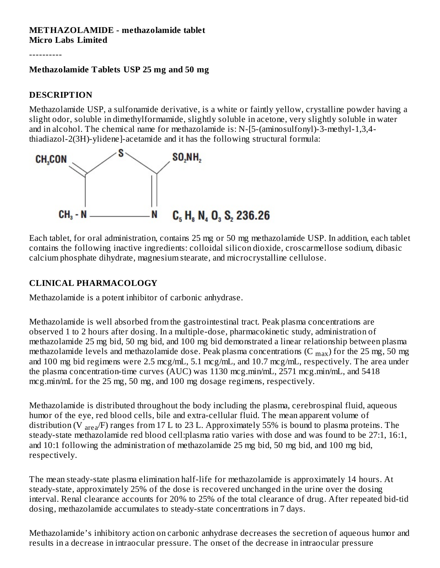#### **METHAZOLAMIDE - methazolamide tablet Micro Labs Limited**

----------

#### **Methazolamide Tablets USP 25 mg and 50 mg**

# **DESCRIPTION**

Methazolamide USP, a sulfonamide derivative, is a white or faintly yellow, crystalline powder having a slight odor, soluble in dimethylformamide, slightly soluble in acetone, very slightly soluble in water and in alcohol. The chemical name for methazolamide is: N-[5-(aminosulfonyl)-3-methyl-1,3,4 thiadiazol-2(3H)-ylidene]-acetamide and it has the following structural formula:



Each tablet, for oral administration, contains 25 mg or 50 mg methazolamide USP. In addition, each tablet contains the following inactive ingredients: colloidal silicon dioxide, croscarmellose sodium, dibasic calcium phosphate dihydrate, magnesium stearate, and microcrystalline cellulose.

# **CLINICAL PHARMACOLOGY**

Methazolamide is a potent inhibitor of carbonic anhydrase.

Methazolamide is well absorbed from the gastrointestinal tract. Peak plasma concentrations are observed 1 to 2 hours after dosing. In a multiple-dose, pharmacokinetic study, administration of methazolamide 25 mg bid, 50 mg bid, and 100 mg bid demonstrated a linear relationship between plasma methazolamide levels and methazolamide dose. Peak plasma concentrations (C  $_{\rm max}$ ) for the 25 mg, 50 mg and 100 mg bid regimens were 2.5 mcg/mL, 5.1 mcg/mL, and 10.7 mcg/mL, respectively. The area under the plasma concentration-time curves (AUC) was 1130 mcg.min/mL, 2571 mcg.min/mL, and 5418 mcg.min/mL for the 25 mg, 50 mg, and 100 mg dosage regimens, respectively.

Methazolamide is distributed throughout the body including the plasma, cerebrospinal fluid, aqueous humor of the eye, red blood cells, bile and extra-cellular fluid. The mean apparent volume of distribution (V  $_{\text{area}}$ F) ranges from 17 L to 23 L. Approximately 55% is bound to plasma proteins. The steady-state methazolamide red blood cell:plasma ratio varies with dose and was found to be 27:1, 16:1, and 10:1 following the administration of methazolamide 25 mg bid, 50 mg bid, and 100 mg bid, respectively.

The mean steady-state plasma elimination half-life for methazolamide is approximately 14 hours. At steady-state, approximately 25% of the dose is recovered unchanged in the urine over the dosing interval. Renal clearance accounts for 20% to 25% of the total clearance of drug. After repeated bid-tid dosing, methazolamide accumulates to steady-state concentrations in 7 days.

Methazolamide's inhibitory action on carbonic anhydrase decreases the secretion of aqueous humor and results in a decrease in intraocular pressure. The onset of the decrease in intraocular pressure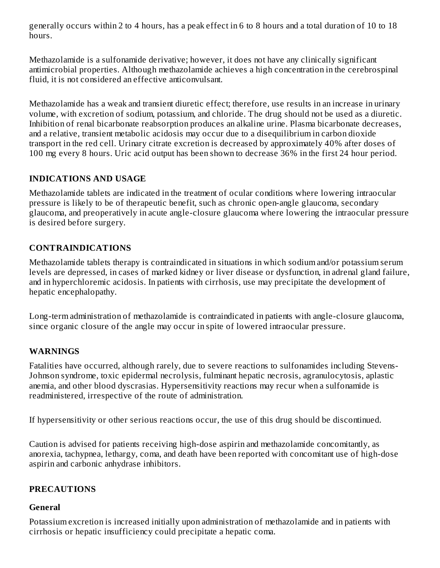generally occurs within 2 to 4 hours, has a peak effect in 6 to 8 hours and a total duration of 10 to 18 hours.

Methazolamide is a sulfonamide derivative; however, it does not have any clinically significant antimicrobial properties. Although methazolamide achieves a high concentration in the cerebrospinal fluid, it is not considered an effective anticonvulsant.

Methazolamide has a weak and transient diuretic effect; therefore, use results in an increase in urinary volume, with excretion of sodium, potassium, and chloride. The drug should not be used as a diuretic. Inhibition of renal bicarbonate reabsorption produces an alkaline urine. Plasma bicarbonate decreases, and a relative, transient metabolic acidosis may occur due to a disequilibrium in carbon dioxide transport in the red cell. Urinary citrate excretion is decreased by approximately 40% after doses of 100 mg every 8 hours. Uric acid output has been shown to decrease 36% in the first 24 hour period.

## **INDICATIONS AND USAGE**

Methazolamide tablets are indicated in the treatment of ocular conditions where lowering intraocular pressure is likely to be of therapeutic benefit, such as chronic open-angle glaucoma, secondary glaucoma, and preoperatively in acute angle-closure glaucoma where lowering the intraocular pressure is desired before surgery.

# **CONTRAINDICATIONS**

Methazolamide tablets therapy is contraindicated in situations in which sodium and/or potassium serum levels are depressed, in cases of marked kidney or liver disease or dysfunction, in adrenal gland failure, and in hyperchloremic acidosis. In patients with cirrhosis, use may precipitate the development of hepatic encephalopathy.

Long-term administration of methazolamide is contraindicated in patients with angle-closure glaucoma, since organic closure of the angle may occur in spite of lowered intraocular pressure.

## **WARNINGS**

Fatalities have occurred, although rarely, due to severe reactions to sulfonamides including Stevens-Johnson syndrome, toxic epidermal necrolysis, fulminant hepatic necrosis, agranulocytosis, aplastic anemia, and other blood dyscrasias. Hypersensitivity reactions may recur when a sulfonamide is readministered, irrespective of the route of administration.

If hypersensitivity or other serious reactions occur, the use of this drug should be discontinued.

Caution is advised for patients receiving high-dose aspirin and methazolamide concomitantly, as anorexia, tachypnea, lethargy, coma, and death have been reported with concomitant use of high-dose aspirin and carbonic anhydrase inhibitors.

## **PRECAUTIONS**

## **General**

Potassium excretion is increased initially upon administration of methazolamide and in patients with cirrhosis or hepatic insufficiency could precipitate a hepatic coma.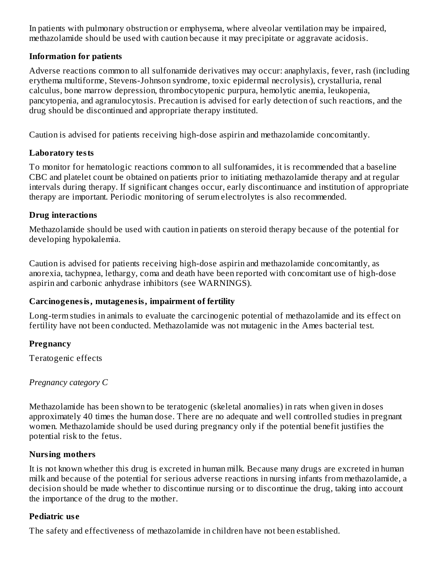In patients with pulmonary obstruction or emphysema, where alveolar ventilation may be impaired, methazolamide should be used with caution because it may precipitate or aggravate acidosis.

## **Information for patients**

Adverse reactions common to all sulfonamide derivatives may occur: anaphylaxis, fever, rash (including erythema multiforme, Stevens-Johnson syndrome, toxic epidermal necrolysis), crystalluria, renal calculus, bone marrow depression, thrombocytopenic purpura, hemolytic anemia, leukopenia, pancytopenia, and agranulocytosis. Precaution is advised for early detection of such reactions, and the drug should be discontinued and appropriate therapy instituted.

Caution is advised for patients receiving high-dose aspirin and methazolamide concomitantly.

### **Laboratory tests**

To monitor for hematologic reactions common to all sulfonamides, it is recommended that a baseline CBC and platelet count be obtained on patients prior to initiating methazolamide therapy and at regular intervals during therapy. If significant changes occur, early discontinuance and institution of appropriate therapy are important. Periodic monitoring of serum electrolytes is also recommended.

## **Drug interactions**

Methazolamide should be used with caution in patients on steroid therapy because of the potential for developing hypokalemia.

Caution is advised for patients receiving high-dose aspirin and methazolamide concomitantly, as anorexia, tachypnea, lethargy, coma and death have been reported with concomitant use of high-dose aspirin and carbonic anhydrase inhibitors (see WARNINGS).

## **Carcinogenesis, mutagenesis, impairment of fertility**

Long-term studies in animals to evaluate the carcinogenic potential of methazolamide and its effect on fertility have not been conducted. Methazolamide was not mutagenic in the Ames bacterial test.

#### **Pregnancy**

Teratogenic effects

*Pregnancy category C*

Methazolamide has been shown to be teratogenic (skeletal anomalies) in rats when given in doses approximately 40 times the human dose. There are no adequate and well controlled studies in pregnant women. Methazolamide should be used during pregnancy only if the potential benefit justifies the potential risk to the fetus.

#### **Nursing mothers**

It is not known whether this drug is excreted in human milk. Because many drugs are excreted in human milk and because of the potential for serious adverse reactions in nursing infants from methazolamide, a decision should be made whether to discontinue nursing or to discontinue the drug, taking into account the importance of the drug to the mother.

#### **Pediatric us e**

The safety and effectiveness of methazolamide in children have not been established.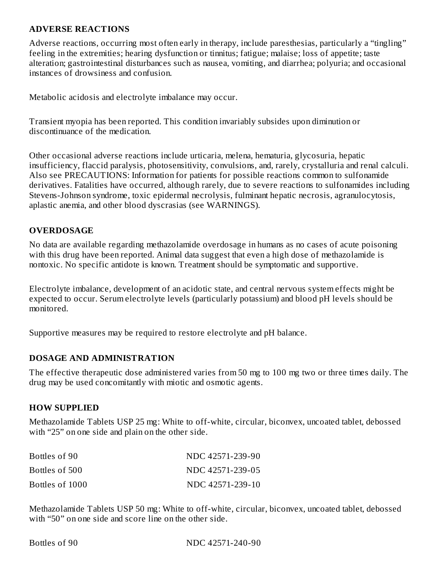#### **ADVERSE REACTIONS**

Adverse reactions, occurring most often early in therapy, include paresthesias, particularly a "tingling" feeling in the extremities; hearing dysfunction or tinnitus; fatigue; malaise; loss of appetite; taste alteration; gastrointestinal disturbances such as nausea, vomiting, and diarrhea; polyuria; and occasional instances of drowsiness and confusion.

Metabolic acidosis and electrolyte imbalance may occur.

Transient myopia has been reported. This condition invariably subsides upon diminution or discontinuance of the medication.

Other occasional adverse reactions include urticaria, melena, hematuria, glycosuria, hepatic insufficiency, flaccid paralysis, photosensitivity, convulsions, and, rarely, crystalluria and renal calculi. Also see PRECAUTIONS: Information for patients for possible reactions common to sulfonamide derivatives. Fatalities have occurred, although rarely, due to severe reactions to sulfonamides including Stevens-Johnson syndrome, toxic epidermal necrolysis, fulminant hepatic necrosis, agranulocytosis, aplastic anemia, and other blood dyscrasias (see WARNINGS).

## **OVERDOSAGE**

No data are available regarding methazolamide overdosage in humans as no cases of acute poisoning with this drug have been reported. Animal data suggest that even a high dose of methazolamide is nontoxic. No specific antidote is known. Treatment should be symptomatic and supportive.

Electrolyte imbalance, development of an acidotic state, and central nervous system effects might be expected to occur. Serum electrolyte levels (particularly potassium) and blood pH levels should be monitored.

Supportive measures may be required to restore electrolyte and pH balance.

#### **DOSAGE AND ADMINISTRATION**

The effective therapeutic dose administered varies from 50 mg to 100 mg two or three times daily. The drug may be used concomitantly with miotic and osmotic agents.

#### **HOW SUPPLIED**

Methazolamide Tablets USP 25 mg: White to off-white, circular, biconvex, uncoated tablet, debossed with "25" on one side and plain on the other side.

| Bottles of 90   | NDC 42571-239-90 |
|-----------------|------------------|
| Bottles of 500  | NDC 42571-239-05 |
| Bottles of 1000 | NDC 42571-239-10 |

Methazolamide Tablets USP 50 mg: White to off-white, circular, biconvex, uncoated tablet, debossed with "50" on one side and score line on the other side.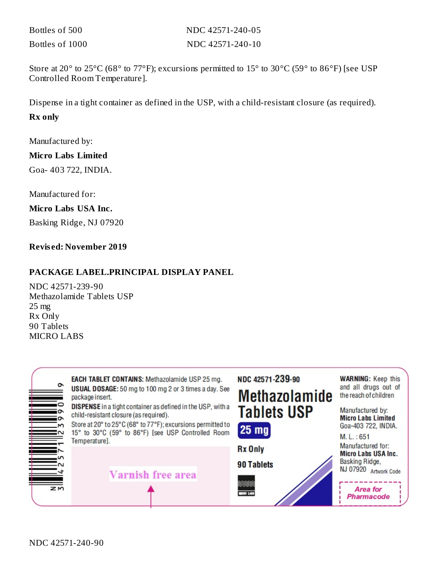| Bottles of 500  | NDC 42571-240-05 |
|-----------------|------------------|
| Bottles of 1000 | NDC 42571-240-10 |

Store at 20 $\degree$  to 25 $\degree$ C (68 $\degree$  to 77 $\degree$ F); excursions permitted to 15 $\degree$  to 30 $\degree$ C (59 $\degree$  to 86 $\degree$ F) [see USP Controlled Room Temperature].

Dispense in a tight container as defined in the USP, with a child-resistant closure (as required).

#### **Rx only**

Manufactured by:

#### **Micro Labs Limited**

Goa- 403 722, INDIA.

Manufactured for:

### **Micro Labs USA Inc.**

Basking Ridge, NJ 07920

#### **Revis ed: November 2019**

### **PACKAGE LABEL.PRINCIPAL DISPLAY PANEL**

NDC 42571-239-90 Methazolamide Tablets USP 25 mg Rx Only 90 Tablets MICRO LABS

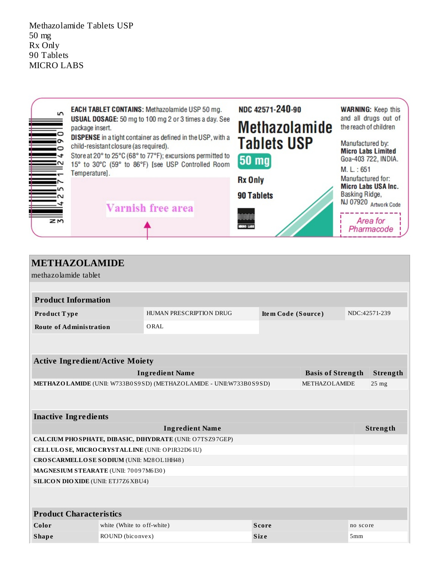Methazolamide Tablets USP 50 mg Rx Only 90 Tablets MICRO LABS



| <b>METHAZOLAMIDE</b>                                                                |                                                 |                         |                    |                          |          |               |  |
|-------------------------------------------------------------------------------------|-------------------------------------------------|-------------------------|--------------------|--------------------------|----------|---------------|--|
| methazolamide tablet                                                                |                                                 |                         |                    |                          |          |               |  |
|                                                                                     |                                                 |                         |                    |                          |          |               |  |
| <b>Product Information</b>                                                          |                                                 |                         |                    |                          |          |               |  |
| Product Type                                                                        |                                                 | HUMAN PRESCRIPTION DRUG | Item Code (Source) |                          |          | NDC:42571-239 |  |
| <b>Route of Administration</b>                                                      |                                                 | ORAL                    |                    |                          |          |               |  |
|                                                                                     |                                                 |                         |                    |                          |          |               |  |
|                                                                                     |                                                 |                         |                    |                          |          |               |  |
| <b>Active Ingredient/Active Moiety</b>                                              |                                                 |                         |                    |                          |          |               |  |
|                                                                                     |                                                 | <b>Ingredient Name</b>  |                    | <b>Basis of Strength</b> |          | Strength      |  |
| METHAZOLAMIDE (UNII: W733B0S9SD) (METHAZOLAMIDE - UNII:W733B0S9SD)<br>METHAZOLAMIDE |                                                 |                         |                    |                          |          | $25$ mg       |  |
|                                                                                     |                                                 |                         |                    |                          |          |               |  |
| <b>Inactive Ingredients</b>                                                         |                                                 |                         |                    |                          |          |               |  |
| <b>Ingredient Name</b>                                                              |                                                 |                         |                    |                          |          | Strength      |  |
| CALCIUM PHO SPHATE, DIBASIC, DIHYDRATE (UNII: O7TSZ97GEP)                           |                                                 |                         |                    |                          |          |               |  |
|                                                                                     | CELLULOSE, MICRO CRYSTALLINE (UNII: OP1R32D61U) |                         |                    |                          |          |               |  |
| CROSCARMELLOSE SODIUM (UNII: M28OL1HH48)                                            |                                                 |                         |                    |                          |          |               |  |
| MAGNESIUM STEARATE (UNII: 70097M6I30)                                               |                                                 |                         |                    |                          |          |               |  |
| <b>SILICON DIO XIDE (UNII: ETJ7Z6 XBU4)</b>                                         |                                                 |                         |                    |                          |          |               |  |
|                                                                                     |                                                 |                         |                    |                          |          |               |  |
| <b>Product Characteristics</b>                                                      |                                                 |                         |                    |                          |          |               |  |
| Color                                                                               | white (White to off-white)                      |                         | <b>Score</b>       |                          | no score |               |  |
| <b>Shape</b>                                                                        | ROUND (biconvex)                                |                         | <b>Size</b>        |                          | 5mm      |               |  |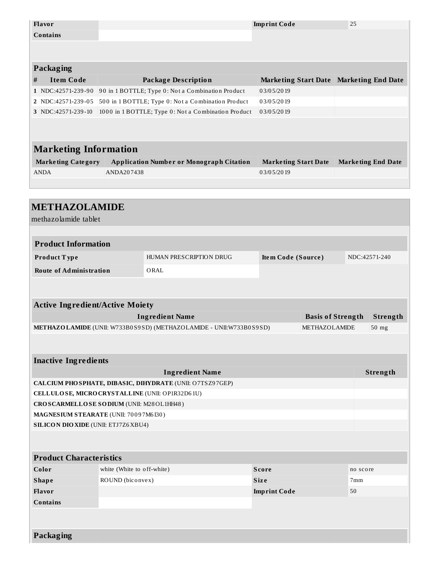| Flavor                                             |                                                                                              |                                                           | <b>Imprint Code</b>         |  | 25       |                                         |  |
|----------------------------------------------------|----------------------------------------------------------------------------------------------|-----------------------------------------------------------|-----------------------------|--|----------|-----------------------------------------|--|
| <b>Contains</b>                                    |                                                                                              |                                                           |                             |  |          |                                         |  |
|                                                    |                                                                                              |                                                           |                             |  |          |                                         |  |
|                                                    |                                                                                              |                                                           |                             |  |          |                                         |  |
| Packaging                                          |                                                                                              |                                                           |                             |  |          |                                         |  |
| <b>Item Code</b><br>#                              |                                                                                              | <b>Package Description</b>                                |                             |  |          | Marketing Start Date Marketing End Date |  |
| $1$ NDC:42571-239-90                               |                                                                                              | 90 in 1 BOTTLE; Type 0: Not a Combination Product         | 03/05/2019                  |  |          |                                         |  |
| 2 NDC:42571-239-05                                 |                                                                                              | 500 in 1 BOTTLE; Type 0: Not a Combination Product        | 03/05/2019                  |  |          |                                         |  |
| 3 NDC:42571-239-10                                 |                                                                                              | 1000 in 1 BOTTLE; Type 0: Not a Combination Product       | 03/05/2019                  |  |          |                                         |  |
|                                                    |                                                                                              |                                                           |                             |  |          |                                         |  |
|                                                    |                                                                                              |                                                           |                             |  |          |                                         |  |
| <b>Marketing Information</b>                       |                                                                                              |                                                           |                             |  |          |                                         |  |
| <b>Marketing Category</b>                          |                                                                                              | <b>Application Number or Monograph Citation</b>           | <b>Marketing Start Date</b> |  |          | <b>Marketing End Date</b>               |  |
| <b>ANDA</b>                                        | ANDA207438                                                                                   |                                                           | 03/05/2019                  |  |          |                                         |  |
|                                                    |                                                                                              |                                                           |                             |  |          |                                         |  |
|                                                    |                                                                                              |                                                           |                             |  |          |                                         |  |
| <b>METHAZOLAMIDE</b>                               |                                                                                              |                                                           |                             |  |          |                                         |  |
| methazolamide tablet                               |                                                                                              |                                                           |                             |  |          |                                         |  |
|                                                    |                                                                                              |                                                           |                             |  |          |                                         |  |
| <b>Product Information</b>                         |                                                                                              |                                                           |                             |  |          |                                         |  |
| Product Type                                       |                                                                                              | HUMAN PRESCRIPTION DRUG                                   | Item Code (Source)          |  |          | NDC:42571-240                           |  |
|                                                    |                                                                                              |                                                           |                             |  |          |                                         |  |
| <b>Route of Administration</b>                     |                                                                                              | ORAL                                                      |                             |  |          |                                         |  |
|                                                    |                                                                                              |                                                           |                             |  |          |                                         |  |
|                                                    |                                                                                              |                                                           |                             |  |          |                                         |  |
| <b>Active Ingredient/Active Moiety</b><br>Strength |                                                                                              |                                                           |                             |  |          |                                         |  |
| <b>Ingredient Name</b><br><b>Basis of Strength</b> |                                                                                              |                                                           |                             |  |          |                                         |  |
|                                                    | METHAZOLAMIDE (UNII: W733B0S9SD) (METHAZOLAMIDE - UNII:W733B0S9SD)<br>METHAZOLAMIDE<br>50 mg |                                                           |                             |  |          |                                         |  |
|                                                    |                                                                                              |                                                           |                             |  |          |                                         |  |
| <b>Inactive Ingredients</b>                        |                                                                                              |                                                           |                             |  |          |                                         |  |
| <b>Ingredient Name</b>                             |                                                                                              |                                                           |                             |  | Strength |                                         |  |
|                                                    |                                                                                              | CALCIUM PHO SPHATE, DIBASIC, DIHYDRATE (UNII: O7TSZ97GEP) |                             |  |          |                                         |  |
| CELLULOSE, MICRO CRYSTALLINE (UNII: OP1R32D61U)    |                                                                                              |                                                           |                             |  |          |                                         |  |
| CROSCARMELLOSE SODIUM (UNII: M28OL1HH48)           |                                                                                              |                                                           |                             |  |          |                                         |  |
| MAGNESIUM STEARATE (UNII: 70097M6130)              |                                                                                              |                                                           |                             |  |          |                                         |  |
| <b>SILICON DIO XIDE (UNII: ETJ7Z6 XBU4)</b>        |                                                                                              |                                                           |                             |  |          |                                         |  |
|                                                    |                                                                                              |                                                           |                             |  |          |                                         |  |
|                                                    |                                                                                              |                                                           |                             |  |          |                                         |  |
| <b>Product Characteristics</b>                     |                                                                                              |                                                           |                             |  |          |                                         |  |
| Color                                              | white (White to off-white)<br><b>Score</b><br>no score                                       |                                                           |                             |  |          |                                         |  |
| <b>Shape</b>                                       | ROUND (biconvex)<br><b>Size</b><br>7mm                                                       |                                                           |                             |  |          |                                         |  |
| Flavor                                             | 50<br><b>Imprint Code</b>                                                                    |                                                           |                             |  |          |                                         |  |
| <b>Contains</b>                                    |                                                                                              |                                                           |                             |  |          |                                         |  |
|                                                    |                                                                                              |                                                           |                             |  |          |                                         |  |
|                                                    |                                                                                              |                                                           |                             |  |          |                                         |  |
| <b>Packaging</b>                                   |                                                                                              |                                                           |                             |  |          |                                         |  |